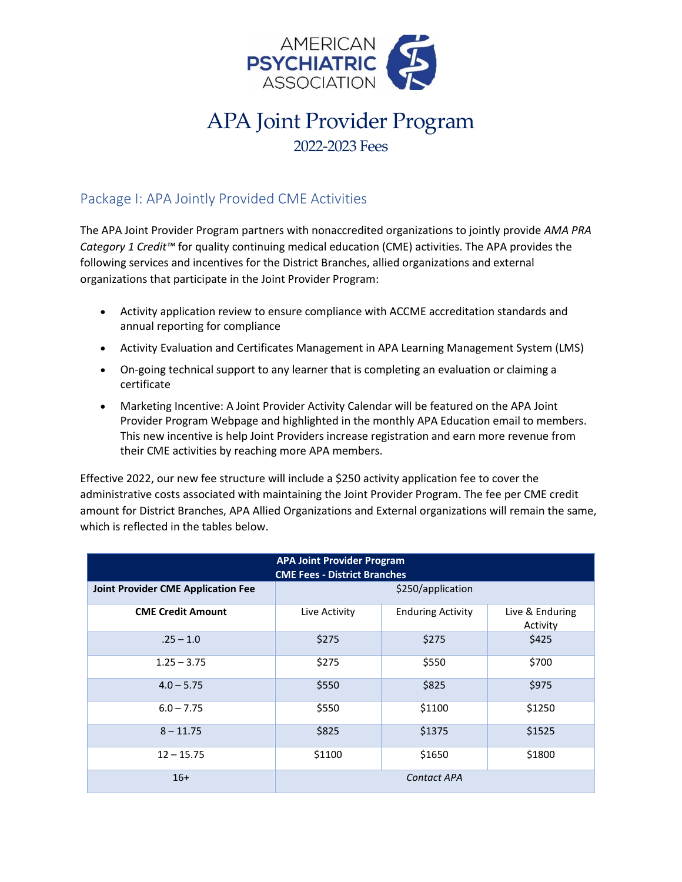

## APA Joint Provider Program 2022-2023 Fees

## Package I: APA Jointly Provided CME Activities

The APA Joint Provider Program partners with nonaccredited organizations to jointly provide *AMA PRA Category 1 Credit™* for quality continuing medical education (CME) activities. The APA provides the following services and incentives for the District Branches, allied organizations and external organizations that participate in the Joint Provider Program:

- Activity application review to ensure compliance with ACCME accreditation standards and annual reporting for compliance
- Activity Evaluation and Certificates Management in APA Learning Management System (LMS)
- On-going technical support to any learner that is completing an evaluation or claiming a certificate
- Marketing Incentive: A Joint Provider Activity Calendar will be featured on the APA Joint Provider Program Webpage and highlighted in the monthly APA Education email to members. This new incentive is help Joint Providers increase registration and earn more revenue from their CME activities by reaching more APA members.

Effective 2022, our new fee structure will include a \$250 activity application fee to cover the administrative costs associated with maintaining the Joint Provider Program. The fee per CME credit amount for District Branches, APA Allied Organizations and External organizations will remain the same, which is reflected in the tables below.

| <b>APA Joint Provider Program</b><br><b>CME Fees - District Branches</b> |                    |                          |                             |  |  |
|--------------------------------------------------------------------------|--------------------|--------------------------|-----------------------------|--|--|
| <b>Joint Provider CME Application Fee</b>                                | \$250/application  |                          |                             |  |  |
| <b>CME Credit Amount</b>                                                 | Live Activity      | <b>Enduring Activity</b> | Live & Enduring<br>Activity |  |  |
| $.25 - 1.0$                                                              | \$275              | \$275                    | \$425                       |  |  |
| $1.25 - 3.75$                                                            | \$275              | \$550                    | \$700                       |  |  |
| $4.0 - 5.75$                                                             | \$550              | \$825                    | \$975                       |  |  |
| $6.0 - 7.75$                                                             | \$550              | \$1100                   | \$1250                      |  |  |
| $8 - 11.75$                                                              | \$825              | \$1375                   | \$1525                      |  |  |
| $12 - 15.75$                                                             | \$1100             | \$1650                   | \$1800                      |  |  |
| $16+$                                                                    | <b>Contact APA</b> |                          |                             |  |  |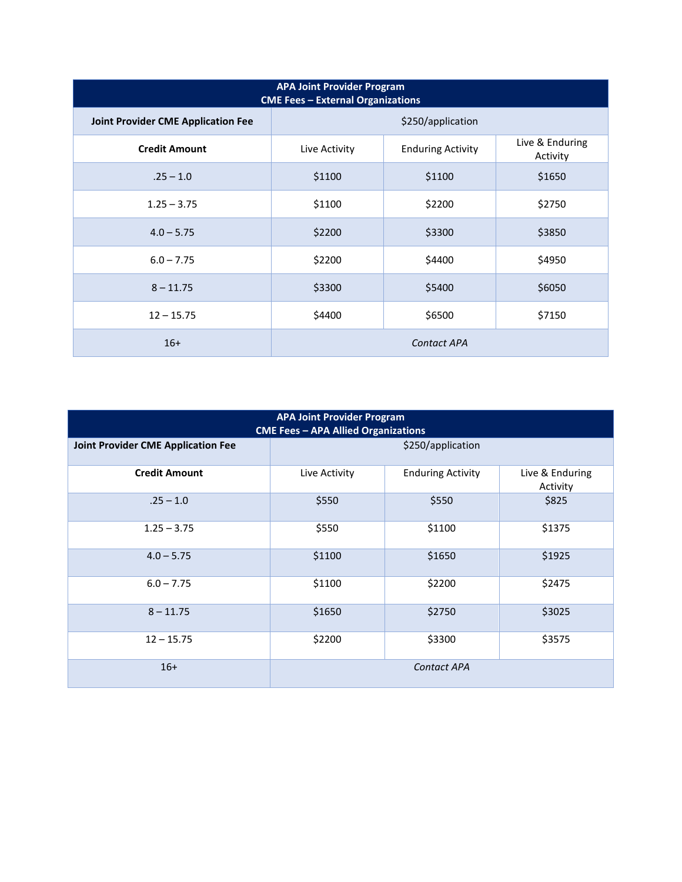| <b>APA Joint Provider Program</b><br><b>CME Fees - External Organizations</b> |                    |                          |                             |  |  |
|-------------------------------------------------------------------------------|--------------------|--------------------------|-----------------------------|--|--|
| <b>Joint Provider CME Application Fee</b>                                     | \$250/application  |                          |                             |  |  |
| <b>Credit Amount</b>                                                          | Live Activity      | <b>Enduring Activity</b> | Live & Enduring<br>Activity |  |  |
| $.25 - 1.0$                                                                   | \$1100             | \$1100                   | \$1650                      |  |  |
| $1.25 - 3.75$                                                                 | \$1100             | \$2200                   | \$2750                      |  |  |
| $4.0 - 5.75$                                                                  | \$2200             | \$3300                   | \$3850                      |  |  |
| $6.0 - 7.75$                                                                  | \$2200             | \$4400                   | \$4950                      |  |  |
| $8 - 11.75$                                                                   | \$3300             | \$5400                   | \$6050                      |  |  |
| $12 - 15.75$                                                                  | \$4400             | \$6500                   | \$7150                      |  |  |
| $16+$                                                                         | <b>Contact APA</b> |                          |                             |  |  |

| <b>APA Joint Provider Program</b><br><b>CME Fees - APA Allied Organizations</b> |                   |                          |                             |  |  |
|---------------------------------------------------------------------------------|-------------------|--------------------------|-----------------------------|--|--|
| <b>Joint Provider CME Application Fee</b>                                       | \$250/application |                          |                             |  |  |
| <b>Credit Amount</b>                                                            | Live Activity     | <b>Enduring Activity</b> | Live & Enduring<br>Activity |  |  |
| $.25 - 1.0$                                                                     | \$550             | \$550                    | \$825                       |  |  |
| $1.25 - 3.75$                                                                   | \$550             | \$1100                   | \$1375                      |  |  |
| $4.0 - 5.75$                                                                    | \$1100            | \$1650                   | \$1925                      |  |  |
| $6.0 - 7.75$                                                                    | \$1100            | \$2200                   | \$2475                      |  |  |
| $8 - 11.75$                                                                     | \$1650            | \$2750                   | \$3025                      |  |  |
| $12 - 15.75$                                                                    | \$2200            | \$3300                   | \$3575                      |  |  |
| $16+$                                                                           |                   | <b>Contact APA</b>       |                             |  |  |